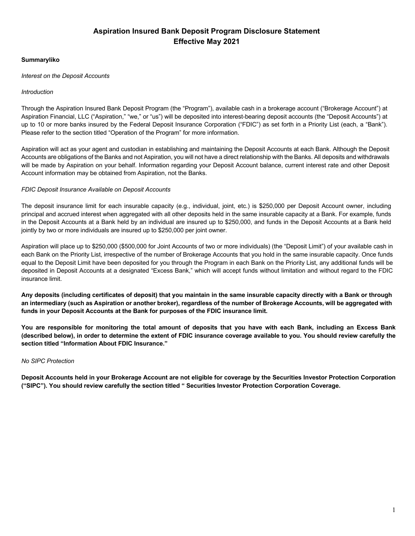## **Summaryliko**

#### *Interest on the Deposit Accounts*

#### *Introduction*

Through the Aspiration Insured Bank Deposit Program (the "Program"), available cash in a brokerage account ("Brokerage Account") at Aspiration Financial, LLC ("Aspiration," "we," or "us") will be deposited into interest-bearing deposit accounts (the "Deposit Accounts") at up to 10 or more banks insured by the Federal Deposit Insurance Corporation ("FDIC") as set forth in a Priority List (each, a "Bank"). Please refer to the section titled "Operation of the Program" for more information.

Aspiration will act as your agent and custodian in establishing and maintaining the Deposit Accounts at each Bank. Although the Deposit Accounts are obligations of the Banks and not Aspiration, you will not have a direct relationship with the Banks. All deposits and withdrawals will be made by Aspiration on your behalf. Information regarding your Deposit Account balance, current interest rate and other Deposit Account information may be obtained from Aspiration, not the Banks.

#### *FDIC Deposit Insurance Available on Deposit Accounts*

The deposit insurance limit for each insurable capacity (e.g., individual, joint, etc.) is \$250,000 per Deposit Account owner, including principal and accrued interest when aggregated with all other deposits held in the same insurable capacity at a Bank. For example, funds in the Deposit Accounts at a Bank held by an individual are insured up to \$250,000, and funds in the Deposit Accounts at a Bank held jointly by two or more individuals are insured up to \$250,000 per joint owner.

Aspiration will place up to \$250,000 (\$500,000 for Joint Accounts of two or more individuals) (the "Deposit Limit") of your available cash in each Bank on the Priority List, irrespective of the number of Brokerage Accounts that you hold in the same insurable capacity. Once funds equal to the Deposit Limit have been deposited for you through the Program in each Bank on the Priority List, any additional funds will be deposited in Deposit Accounts at a designated "Excess Bank," which will accept funds without limitation and without regard to the FDIC insurance limit.

**Any deposits (including certificates of deposit) that you maintain in the same insurable capacity directly with a Bank or through an intermediary (such as Aspiration or another broker), regardless of the number of Brokerage Accounts, will be aggregated with funds in your Deposit Accounts at the Bank for purposes of the FDIC insurance limit.**

**You are responsible for monitoring the total amount of deposits that you have with each Bank, including an Excess Bank (described below), in order to determine the extent of FDIC insurance coverage available to you. You should review carefully the section titled "Information About FDIC Insurance."**

#### *No SIPC Protection*

**Deposit Accounts held in your Brokerage Account are not eligible for coverage by the Securities Investor Protection Corporation ("SIPC"). You should review carefully the section titled " Securities Investor Protection Corporation Coverage.**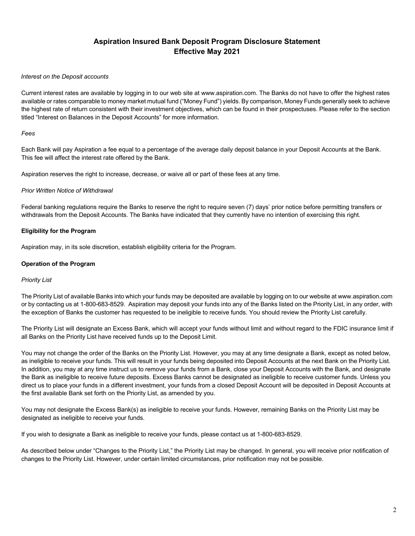#### *Interest on the Deposit accounts*

Current interest rates are available by logging in to our web site at www.aspiration.com. The Banks do not have to offer the highest rates available or rates comparable to money market mutual fund ("Money Fund") yields. By comparison, Money Funds generally seek to achieve the highest rate of return consistent with their investment objectives, which can be found in their prospectuses. Please refer to the section titled "Interest on Balances in the Deposit Accounts" for more information.

### *Fees*

Each Bank will pay Aspiration a fee equal to a percentage of the average daily deposit balance in your Deposit Accounts at the Bank. This fee will affect the interest rate offered by the Bank.

Aspiration reserves the right to increase, decrease, or waive all or part of these fees at any time.

## *Prior Written Notice of Withdrawal*

Federal banking regulations require the Banks to reserve the right to require seven (7) days' prior notice before permitting transfers or withdrawals from the Deposit Accounts. The Banks have indicated that they currently have no intention of exercising this right.

## **Eligibility for the Program**

Aspiration may, in its sole discretion, establish eligibility criteria for the Program.

## **Operation of the Program**

## *Priority List*

The Priority List of available Banks into which your funds may be deposited are available by logging on to our website at www.aspiration.com or by contacting us at 1-800-683-8529. Aspiration may deposit your funds into any of the Banks listed on the Priority List, in any order, with the exception of Banks the customer has requested to be ineligible to receive funds. You should review the Priority List carefully.

The Priority List will designate an Excess Bank, which will accept your funds without limit and without regard to the FDIC insurance limit if all Banks on the Priority List have received funds up to the Deposit Limit.

You may not change the order of the Banks on the Priority List. However, you may at any time designate a Bank, except as noted below, as ineligible to receive your funds. This will result in your funds being deposited into Deposit Accounts at the next Bank on the Priority List. In addition, you may at any time instruct us to remove your funds from a Bank, close your Deposit Accounts with the Bank, and designate the Bank as ineligible to receive future deposits. Excess Banks cannot be designated as ineligible to receive customer funds. Unless you direct us to place your funds in a different investment, your funds from a closed Deposit Account will be deposited in Deposit Accounts at the first available Bank set forth on the Priority List, as amended by you.

You may not designate the Excess Bank(s) as ineligible to receive your funds. However, remaining Banks on the Priority List may be designated as ineligible to receive your funds.

If you wish to designate a Bank as ineligible to receive your funds, please contact us at 1-800-683-8529.

As described below under "Changes to the Priority List," the Priority List may be changed. In general, you will receive prior notification of changes to the Priority List. However, under certain limited circumstances, prior notification may not be possible.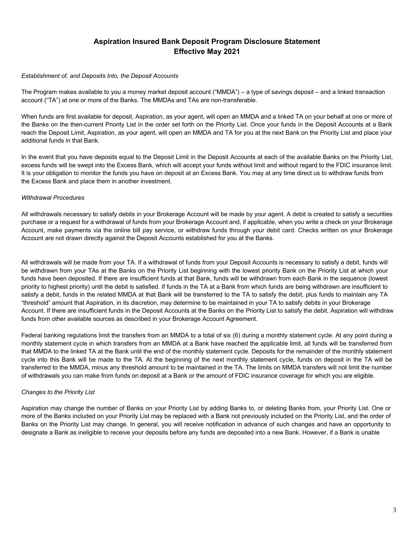### *Establishment of, and Deposits Into, the Deposit Accounts*

The Program makes available to you a money market deposit account ("MMDA") – a type of savings deposit – and a linked transaction account ("TA") at one or more of the Banks. The MMDAs and TAs are non-transferable.

When funds are first available for deposit, Aspiration, as your agent, will open an MMDA and a linked TA on your behalf at one or more of the Banks on the then-current Priority List in the order set forth on the Priority List. Once your funds in the Deposit Accounts at a Bank reach the Deposit Limit, Aspiration, as your agent, will open an MMDA and TA for you at the next Bank on the Priority List and place your additional funds in that Bank.

In the event that you have deposits equal to the Deposit Limit in the Deposit Accounts at each of the available Banks on the Priority List, excess funds will be swept into the Excess Bank, which will accept your funds without limit and without regard to the FDIC insurance limit. It is your obligation to monitor the funds you have on deposit at an Excess Bank. You may at any time direct us to withdraw funds from the Excess Bank and place them in another investment.

## *Withdrawal Procedures*

All withdrawals necessary to satisfy debits in your Brokerage Account will be made by your agent. A debit is created to satisfy a securities purchase or a request for a withdrawal of funds from your Brokerage Account and, if applicable, when you write a check on your Brokerage Account, make payments via the online bill pay service, or withdraw funds through your debit card. Checks written on your Brokerage Account are not drawn directly against the Deposit Accounts established for you at the Banks.

All withdrawals will be made from your TA. If a withdrawal of funds from your Deposit Accounts is necessary to satisfy a debit, funds will be withdrawn from your TAs at the Banks on the Priority List beginning with the lowest priority Bank on the Priority List at which your funds have been deposited. If there are insufficient funds at that Bank, funds will be withdrawn from each Bank in the sequence (lowest priority to highest priority) until the debit is satisfied. If funds in the TA at a Bank from which funds are being withdrawn are insufficient to satisfy a debit, funds in the related MMDA at that Bank will be transferred to the TA to satisfy the debit, plus funds to maintain any TA "threshold" amount that Aspiration, in its discretion, may determine to be maintained in your TA to satisfy debits in your Brokerage Account. If there are insufficient funds in the Deposit Accounts at the Banks on the Priority List to satisfy the debit, Aspiration will withdraw funds from other available sources as described in your Brokerage Account Agreement.

Federal banking regulations limit the transfers from an MMDA to a total of six (6) during a monthly statement cycle. At any point during a monthly statement cycle in which transfers from an MMDA at a Bank have reached the applicable limit, all funds will be transferred from that MMDA to the linked TA at the Bank until the end of the monthly statement cycle. Deposits for the remainder of the monthly statement cycle into this Bank will be made to the TA. At the beginning of the next monthly statement cycle, funds on deposit in the TA will be transferred to the MMDA, minus any threshold amount to be maintained in the TA. The limits on MMDA transfers will not limit the number of withdrawals you can make from funds on deposit at a Bank or the amount of FDIC insurance coverage for which you are eligible.

## *Changes to the Priority List*

Aspiration may change the number of Banks on your Priority List by adding Banks to, or deleting Banks from, your Priority List. One or more of the Banks included on your Priority List may be replaced with a Bank not previously included on the Priority List, and the order of Banks on the Priority List may change. In general, you will receive notification in advance of such changes and have an opportunity to designate a Bank as ineligible to receive your deposits before any funds are deposited into a new Bank. However, if a Bank is unable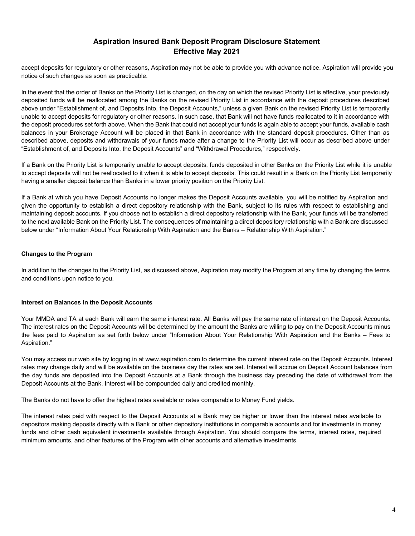accept deposits for regulatory or other reasons, Aspiration may not be able to provide you with advance notice. Aspiration will provide you notice of such changes as soon as practicable.

In the event that the order of Banks on the Priority List is changed, on the day on which the revised Priority List is effective, your previously deposited funds will be reallocated among the Banks on the revised Priority List in accordance with the deposit procedures described above under "Establishment of, and Deposits Into, the Deposit Accounts," unless a given Bank on the revised Priority List is temporarily unable to accept deposits for regulatory or other reasons. In such case, that Bank will not have funds reallocated to it in accordance with the deposit procedures set forth above. When the Bank that could not accept your funds is again able to accept your funds, available cash balances in your Brokerage Account will be placed in that Bank in accordance with the standard deposit procedures. Other than as described above, deposits and withdrawals of your funds made after a change to the Priority List will occur as described above under "Establishment of, and Deposits Into, the Deposit Accounts" and "Withdrawal Procedures," respectively.

If a Bank on the Priority List is temporarily unable to accept deposits, funds deposited in other Banks on the Priority List while it is unable to accept deposits will not be reallocated to it when it is able to accept deposits. This could result in a Bank on the Priority List temporarily having a smaller deposit balance than Banks in a lower priority position on the Priority List.

If a Bank at which you have Deposit Accounts no longer makes the Deposit Accounts available, you will be notified by Aspiration and given the opportunity to establish a direct depository relationship with the Bank, subject to its rules with respect to establishing and maintaining deposit accounts. If you choose not to establish a direct depository relationship with the Bank, your funds will be transferred to the next available Bank on the Priority List. The consequences of maintaining a direct depository relationship with a Bank are discussed below under "Information About Your Relationship With Aspiration and the Banks – Relationship With Aspiration."

## **Changes to the Program**

In addition to the changes to the Priority List, as discussed above, Aspiration may modify the Program at any time by changing the terms and conditions upon notice to you.

#### **Interest on Balances in the Deposit Accounts**

Your MMDA and TA at each Bank will earn the same interest rate. All Banks will pay the same rate of interest on the Deposit Accounts. The interest rates on the Deposit Accounts will be determined by the amount the Banks are willing to pay on the Deposit Accounts minus the fees paid to Aspiration as set forth below under "Information About Your Relationship With Aspiration and the Banks – Fees to Aspiration."

You may access our web site by logging in at www.aspiration.com to determine the current interest rate on the Deposit Accounts. Interest rates may change daily and will be available on the business day the rates are set. Interest will accrue on Deposit Account balances from the day funds are deposited into the Deposit Accounts at a Bank through the business day preceding the date of withdrawal from the Deposit Accounts at the Bank. Interest will be compounded daily and credited monthly.

The Banks do not have to offer the highest rates available or rates comparable to Money Fund yields.

The interest rates paid with respect to the Deposit Accounts at a Bank may be higher or lower than the interest rates available to depositors making deposits directly with a Bank or other depository institutions in comparable accounts and for investments in money funds and other cash equivalent investments available through Aspiration. You should compare the terms, interest rates, required minimum amounts, and other features of the Program with other accounts and alternative investments.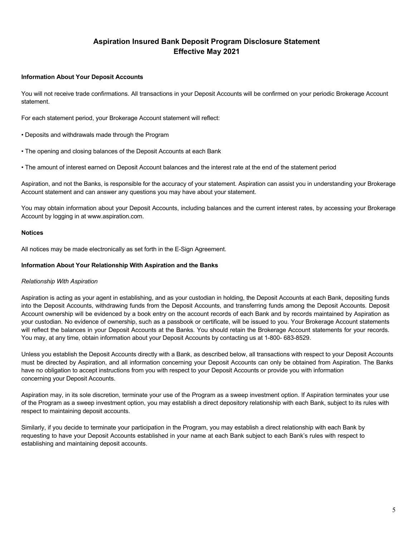#### **Information About Your Deposit Accounts**

You will not receive trade confirmations. All transactions in your Deposit Accounts will be confirmed on your periodic Brokerage Account statement.

For each statement period, your Brokerage Account statement will reflect:

- Deposits and withdrawals made through the Program
- The opening and closing balances of the Deposit Accounts at each Bank
- The amount of interest earned on Deposit Account balances and the interest rate at the end of the statement period

Aspiration, and not the Banks, is responsible for the accuracy of your statement. Aspiration can assist you in understanding your Brokerage Account statement and can answer any questions you may have about your statement.

You may obtain information about your Deposit Accounts, including balances and the current interest rates, by accessing your Brokerage Account by logging in at www.aspiration.com.

#### **Notices**

All notices may be made electronically as set forth in the E-Sign Agreement.

#### **Information About Your Relationship With Aspiration and the Banks**

## *Relationship With Aspiration*

Aspiration is acting as your agent in establishing, and as your custodian in holding, the Deposit Accounts at each Bank, depositing funds into the Deposit Accounts, withdrawing funds from the Deposit Accounts, and transferring funds among the Deposit Accounts. Deposit Account ownership will be evidenced by a book entry on the account records of each Bank and by records maintained by Aspiration as your custodian. No evidence of ownership, such as a passbook or certificate, will be issued to you. Your Brokerage Account statements will reflect the balances in your Deposit Accounts at the Banks. You should retain the Brokerage Account statements for your records. You may, at any time, obtain information about your Deposit Accounts by contacting us at 1-800- 683-8529.

Unless you establish the Deposit Accounts directly with a Bank, as described below, all transactions with respect to your Deposit Accounts must be directed by Aspiration, and all information concerning your Deposit Accounts can only be obtained from Aspiration. The Banks have no obligation to accept instructions from you with respect to your Deposit Accounts or provide you with information concerning your Deposit Accounts.

Aspiration may, in its sole discretion, terminate your use of the Program as a sweep investment option. If Aspiration terminates your use of the Program as a sweep investment option, you may establish a direct depository relationship with each Bank, subject to its rules with respect to maintaining deposit accounts.

Similarly, if you decide to terminate your participation in the Program, you may establish a direct relationship with each Bank by requesting to have your Deposit Accounts established in your name at each Bank subject to each Bank's rules with respect to establishing and maintaining deposit accounts.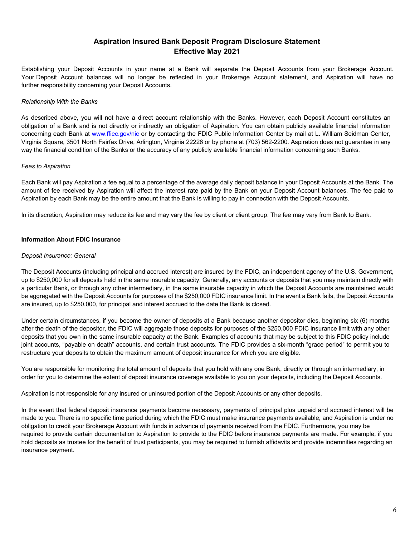Establishing your Deposit Accounts in your name at a Bank will separate the Deposit Accounts from your Brokerage Account. Your Deposit Account balances will no longer be reflected in your Brokerage Account statement, and Aspiration will have no further responsibility concerning your Deposit Accounts.

#### *Relationship With the Banks*

As described above, you will not have a direct account relationship with the Banks. However, each Deposit Account constitutes an obligation of a Bank and is not directly or indirectly an obligation of Aspiration. You can obtain publicly available financial information concerning each Bank at www.ffiec.gov/nic or by contacting the FDIC Public Information Center by mail at L. William Seidman Center, Virginia Square, 3501 North Fairfax Drive, Arlington, Virginia 22226 or by phone at (703) 562-2200. Aspiration does not guarantee in any way the financial condition of the Banks or the accuracy of any publicly available financial information concerning such Banks.

#### *Fees to Aspiration*

Each Bank will pay Aspiration a fee equal to a percentage of the average daily deposit balance in your Deposit Accounts at the Bank. The amount of fee received by Aspiration will affect the interest rate paid by the Bank on your Deposit Account balances. The fee paid to Aspiration by each Bank may be the entire amount that the Bank is willing to pay in connection with the Deposit Accounts.

In its discretion, Aspiration may reduce its fee and may vary the fee by client or client group. The fee may vary from Bank to Bank.

#### **Information About FDIC Insurance**

#### *Deposit Insurance: General*

The Deposit Accounts (including principal and accrued interest) are insured by the FDIC, an independent agency of the U.S. Government, up to \$250,000 for all deposits held in the same insurable capacity. Generally, any accounts or deposits that you may maintain directly with a particular Bank, or through any other intermediary, in the same insurable capacity in which the Deposit Accounts are maintained would be aggregated with the Deposit Accounts for purposes of the \$250,000 FDIC insurance limit. In the event a Bank fails, the Deposit Accounts are insured, up to \$250,000, for principal and interest accrued to the date the Bank is closed.

Under certain circumstances, if you become the owner of deposits at a Bank because another depositor dies, beginning six (6) months after the death of the depositor, the FDIC will aggregate those deposits for purposes of the \$250,000 FDIC insurance limit with any other deposits that you own in the same insurable capacity at the Bank. Examples of accounts that may be subject to this FDIC policy include joint accounts, "payable on death" accounts, and certain trust accounts. The FDIC provides a six-month "grace period" to permit you to restructure your deposits to obtain the maximum amount of deposit insurance for which you are eligible.

You are responsible for monitoring the total amount of deposits that you hold with any one Bank, directly or through an intermediary, in order for you to determine the extent of deposit insurance coverage available to you on your deposits, including the Deposit Accounts.

Aspiration is not responsible for any insured or uninsured portion of the Deposit Accounts or any other deposits.

In the event that federal deposit insurance payments become necessary, payments of principal plus unpaid and accrued interest will be made to you. There is no specific time period during which the FDIC must make insurance payments available, and Aspiration is under no obligation to credit your Brokerage Account with funds in advance of payments received from the FDIC. Furthermore, you may be required to provide certain documentation to Aspiration to provide to the FDIC before insurance payments are made. For example, if you hold deposits as trustee for the benefit of trust participants, you may be required to furnish affidavits and provide indemnities regarding an insurance payment.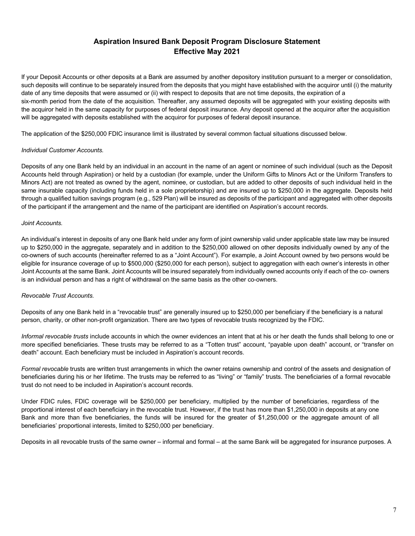If your Deposit Accounts or other deposits at a Bank are assumed by another depository institution pursuant to a merger or consolidation, such deposits will continue to be separately insured from the deposits that you might have established with the acquiror until (i) the maturity date of any time deposits that were assumed or (ii) with respect to deposits that are not time deposits, the expiration of a six-month period from the date of the acquisition. Thereafter, any assumed deposits will be aggregated with your existing deposits with the acquiror held in the same capacity for purposes of federal deposit insurance. Any deposit opened at the acquiror after the acquisition will be aggregated with deposits established with the acquiror for purposes of federal deposit insurance.

The application of the \$250,000 FDIC insurance limit is illustrated by several common factual situations discussed below.

## *Individual Customer Accounts.*

Deposits of any one Bank held by an individual in an account in the name of an agent or nominee of such individual (such as the Deposit Accounts held through Aspiration) or held by a custodian (for example, under the Uniform Gifts to Minors Act or the Uniform Transfers to Minors Act) are not treated as owned by the agent, nominee, or custodian, but are added to other deposits of such individual held in the same insurable capacity (including funds held in a sole proprietorship) and are insured up to \$250,000 in the aggregate. Deposits held through a qualified tuition savings program (e.g., 529 Plan) will be insured as deposits of the participant and aggregated with other deposits of the participant if the arrangement and the name of the participant are identified on Aspiration's account records.

#### *Joint Accounts.*

An individual's interest in deposits of any one Bank held under any form of joint ownership valid under applicable state law may be insured up to \$250,000 in the aggregate, separately and in addition to the \$250,000 allowed on other deposits individually owned by any of the co-owners of such accounts (hereinafter referred to as a "Joint Account"). For example, a Joint Account owned by two persons would be eligible for insurance coverage of up to \$500,000 (\$250,000 for each person), subject to aggregation with each owner's interests in other Joint Accounts at the same Bank. Joint Accounts will be insured separately from individually owned accounts only if each of the co- owners is an individual person and has a right of withdrawal on the same basis as the other co-owners.

## *Revocable Trust Accounts.*

Deposits of any one Bank held in a "revocable trust" are generally insured up to \$250,000 per beneficiary if the beneficiary is a natural person, charity, or other non-profit organization. There are two types of revocable trusts recognized by the FDIC.

*Informal revocable trusts* include accounts in which the owner evidences an intent that at his or her death the funds shall belong to one or more specified beneficiaries. These trusts may be referred to as a "Totten trust" account, "payable upon death" account, or "transfer on death" account. Each beneficiary must be included in Aspiration's account records.

*Formal revocable* trusts are written trust arrangements in which the owner retains ownership and control of the assets and designation of beneficiaries during his or her lifetime. The trusts may be referred to as "living" or "family" trusts. The beneficiaries of a formal revocable trust do not need to be included in Aspiration's account records.

Under FDIC rules, FDIC coverage will be \$250,000 per beneficiary, multiplied by the number of beneficiaries, regardless of the proportional interest of each beneficiary in the revocable trust. However, if the trust has more than \$1,250,000 in deposits at any one Bank and more than five beneficiaries, the funds will be insured for the greater of \$1,250,000 or the aggregate amount of all beneficiaries' proportional interests, limited to \$250,000 per beneficiary.

Deposits in all revocable trusts of the same owner – informal and formal – at the same Bank will be aggregated for insurance purposes. A